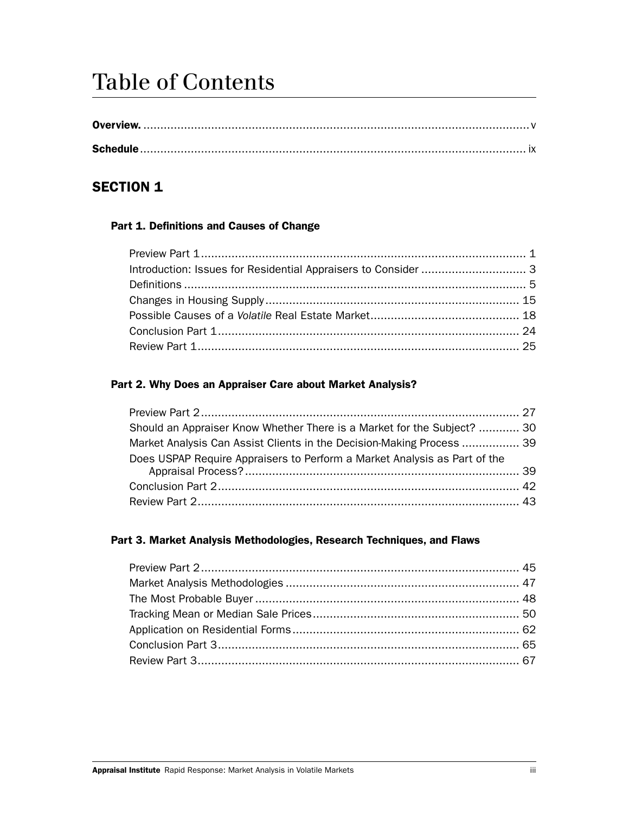# Table of Contents

## SECTION 1

#### Part 1. Definitions and Causes of Change

#### Part 2. Why Does an Appraiser Care about Market Analysis?

| Should an Appraiser Know Whether There is a Market for the Subject?  30   |  |
|---------------------------------------------------------------------------|--|
| Market Analysis Can Assist Clients in the Decision-Making Process  39     |  |
| Does USPAP Require Appraisers to Perform a Market Analysis as Part of the |  |
|                                                                           |  |
|                                                                           |  |

#### Part 3. Market Analysis Methodologies, Research Techniques, and Flaws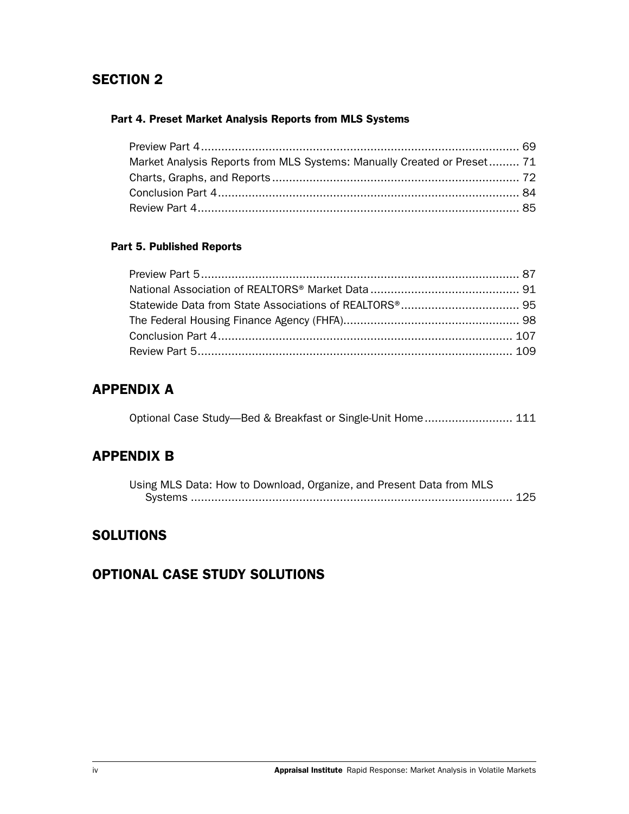## SECTION 2

#### Part 4. Preset Market Analysis Reports from MLS Systems

| Market Analysis Reports from MLS Systems: Manually Created or Preset 71 |  |
|-------------------------------------------------------------------------|--|
|                                                                         |  |
|                                                                         |  |
|                                                                         |  |

### Part 5. Published Reports

# APPENDIX A

|  |  | Optional Case Study—Bed & Breakfast or Single-Unit Home 111 |  |
|--|--|-------------------------------------------------------------|--|
|  |  |                                                             |  |

# APPENDIX B

| Using MLS Data: How to Download, Organize, and Present Data from MLS |  |
|----------------------------------------------------------------------|--|
|                                                                      |  |

## **SOLUTIONS**

# OPTIONAL CASE STUDY SOLUTIONS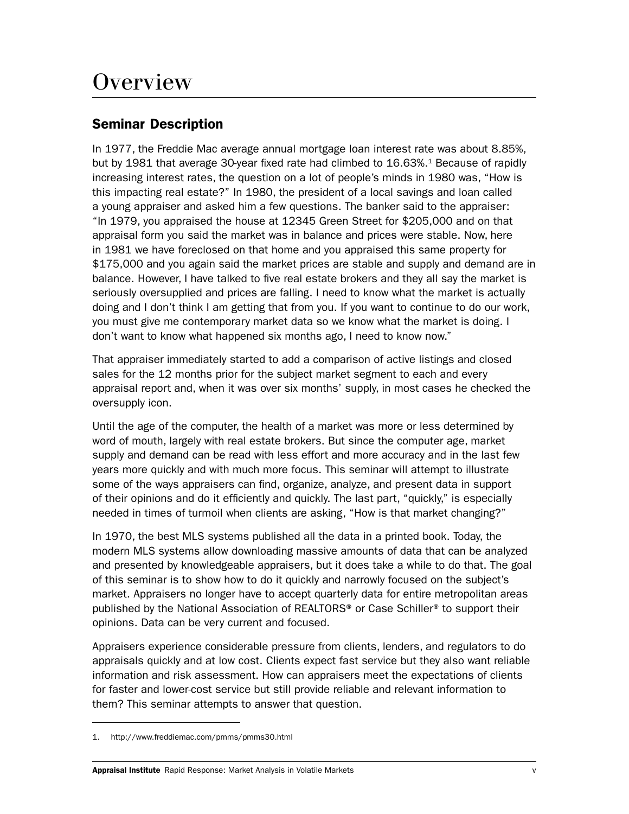# **Overview**

## Seminar Description

In 1977, the Freddie Mac average annual mortgage loan interest rate was about 8.85%, but by 1981 that average 30-year fixed rate had climbed to 16.63%.<sup>1</sup> Because of rapidly increasing interest rates, the question on a lot of people's minds in 1980 was, "How is this impacting real estate?" In 1980, the president of a local savings and loan called a young appraiser and asked him a few questions. The banker said to the appraiser: "In 1979, you appraised the house at 12345 Green Street for \$205,000 and on that appraisal form you said the market was in balance and prices were stable. Now, here in 1981 we have foreclosed on that home and you appraised this same property for \$175,000 and you again said the market prices are stable and supply and demand are in balance. However, I have talked to five real estate brokers and they all say the market is seriously oversupplied and prices are falling. I need to know what the market is actually doing and I don't think I am getting that from you. If you want to continue to do our work, you must give me contemporary market data so we know what the market is doing. I don't want to know what happened six months ago, I need to know now."

That appraiser immediately started to add a comparison of active listings and closed sales for the 12 months prior for the subject market segment to each and every appraisal report and, when it was over six months' supply, in most cases he checked the oversupply icon.

Until the age of the computer, the health of a market was more or less determined by word of mouth, largely with real estate brokers. But since the computer age, market supply and demand can be read with less effort and more accuracy and in the last few years more quickly and with much more focus. This seminar will attempt to illustrate some of the ways appraisers can find, organize, analyze, and present data in support of their opinions and do it efficiently and quickly. The last part, "quickly," is especially needed in times of turmoil when clients are asking, "How is that market changing?"

In 1970, the best MLS systems published all the data in a printed book. Today, the modern MLS systems allow downloading massive amounts of data that can be analyzed and presented by knowledgeable appraisers, but it does take a while to do that. The goal of this seminar is to show how to do it quickly and narrowly focused on the subject's market. Appraisers no longer have to accept quarterly data for entire metropolitan areas published by the National Association of REALTORS® or Case Schiller® to support their opinions. Data can be very current and focused.

Appraisers experience considerable pressure from clients, lenders, and regulators to do appraisals quickly and at low cost. Clients expect fast service but they also want reliable information and risk assessment. How can appraisers meet the expectations of clients for faster and lower-cost service but still provide reliable and relevant information to them? This seminar attempts to answer that question.

<sup>1.</sup> http://www.freddiemac.com/pmms/pmms30.html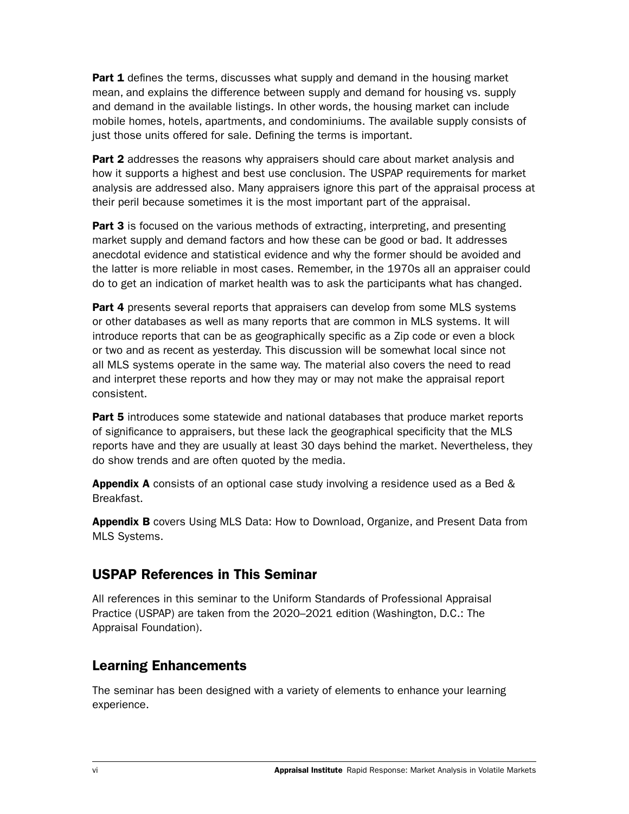**Part 1** defines the terms, discusses what supply and demand in the housing market mean, and explains the difference between supply and demand for housing vs. supply and demand in the available listings. In other words, the housing market can include mobile homes, hotels, apartments, and condominiums. The available supply consists of just those units offered for sale. Defining the terms is important.

**Part 2** addresses the reasons why appraisers should care about market analysis and how it supports a highest and best use conclusion. The USPAP requirements for market analysis are addressed also. Many appraisers ignore this part of the appraisal process at their peril because sometimes it is the most important part of the appraisal.

**Part 3** is focused on the various methods of extracting, interpreting, and presenting market supply and demand factors and how these can be good or bad. It addresses anecdotal evidence and statistical evidence and why the former should be avoided and the latter is more reliable in most cases. Remember, in the 1970s all an appraiser could do to get an indication of market health was to ask the participants what has changed.

**Part 4** presents several reports that appraisers can develop from some MLS systems or other databases as well as many reports that are common in MLS systems. It will introduce reports that can be as geographically specific as a Zip code or even a block or two and as recent as yesterday. This discussion will be somewhat local since not all MLS systems operate in the same way. The material also covers the need to read and interpret these reports and how they may or may not make the appraisal report consistent.

**Part 5** introduces some statewide and national databases that produce market reports of significance to appraisers, but these lack the geographical specificity that the MLS reports have and they are usually at least 30 days behind the market. Nevertheless, they do show trends and are often quoted by the media.

Appendix A consists of an optional case study involving a residence used as a Bed & Breakfast.

Appendix B covers Using MLS Data: How to Download, Organize, and Present Data from MLS Systems.

## USPAP References in This Seminar

All references in this seminar to the Uniform Standards of Professional Appraisal Practice (USPAP) are taken from the 2020–2021 edition (Washington, D.C.: The Appraisal Foundation).

# Learning Enhancements

The seminar has been designed with a variety of elements to enhance your learning experience.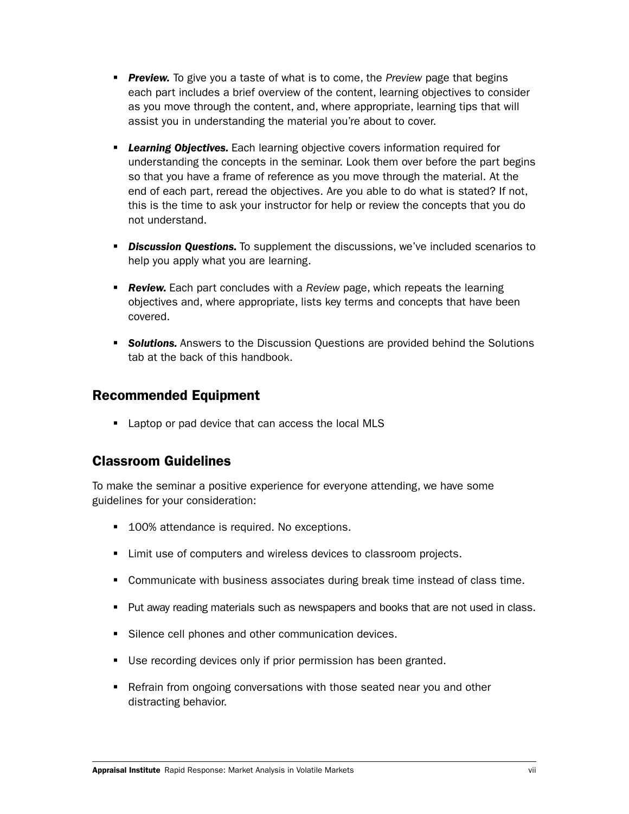- *Preview.* To give you a taste of what is to come, the *Preview* page that begins each part includes a brief overview of the content, learning objectives to consider as you move through the content, and, where appropriate, learning tips that will assist you in understanding the material you're about to cover.
- *Learning Objectives.* Each learning objective covers information required for understanding the concepts in the seminar. Look them over before the part begins so that you have a frame of reference as you move through the material. At the end of each part, reread the objectives. Are you able to do what is stated? If not, this is the time to ask your instructor for help or review the concepts that you do not understand.
- **Discussion Questions.** To supplement the discussions, we've included scenarios to help you apply what you are learning.
- **Review.** Each part concludes with a *Review* page, which repeats the learning objectives and, where appropriate, lists key terms and concepts that have been covered.
- **Solutions.** Answers to the Discussion Questions are provided behind the Solutions tab at the back of this handbook.

### Recommended Equipment

**Laptop or pad device that can access the local MLS** 

## Classroom Guidelines

To make the seminar a positive experience for everyone attending, we have some guidelines for your consideration:

- 100% attendance is required. No exceptions.
- **EXECT:** Limit use of computers and wireless devices to classroom projects.
- Communicate with business associates during break time instead of class time.
- **Put away reading materials such as newspapers and books that are not used in class.**
- Silence cell phones and other communication devices.
- Use recording devices only if prior permission has been granted.
- Refrain from ongoing conversations with those seated near you and other distracting behavior.